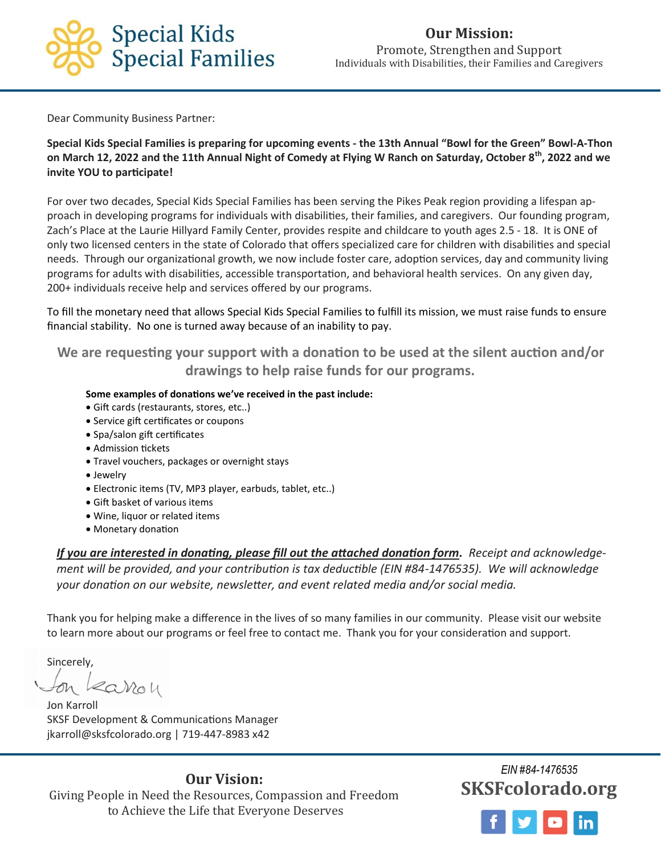

Dear Community Business Partner:

**Special Kids Special Families is preparing for upcoming events - the 13th Annual "Bowl for the Green" Bowl-A-Thon on March 12, 2022 and the 11th Annual Night of Comedy at Flying W Ranch on Saturday, October 8th, 2022 and we invite YOU to participate!**

For over two decades, Special Kids Special Families has been serving the Pikes Peak region providing a lifespan approach in developing programs for individuals with disabilities, their families, and caregivers. Our founding program, Zach's Place at the Laurie Hillyard Family Center, provides respite and childcare to youth ages 2.5 - 18. It is ONE of only two licensed centers in the state of Colorado that offers specialized care for children with disabilities and special needs. Through our organizational growth, we now include foster care, adoption services, day and community living programs for adults with disabilities, accessible transportation, and behavioral health services. On any given day, 200+ individuals receive help and services offered by our programs.

To fill the monetary need that allows Special Kids Special Families to fulfill its mission, we must raise funds to ensure financial stability. No one is turned away because of an inability to pay.

**We are requesting your support with a donation to be used at the silent auction and/or drawings to help raise funds for our programs.**

## **Some examples of donations we've received in the past include:**

- Gift cards (restaurants, stores, etc..)
- Service gift certificates or coupons
- Spa/salon gift certificates
- Admission tickets
- Travel vouchers, packages or overnight stays
- Jewelry
- Electronic items (TV, MP3 player, earbuds, tablet, etc..)
- Gift basket of various items
- Wine, liquor or related items
- Monetary donation

*If you are interested in donating, please fill out the attached donation form. Receipt and acknowledgement will be provided, and your contribution is tax deductible (EIN #84-1476535). We will acknowledge your donation on our website, newsletter, and event related media and/or social media.*

Thank you for helping make a difference in the lives of so many families in our community. Please visit our website to learn more about our programs or feel free to contact me. Thank you for your consideration and support.

Sincerely,

earon

Jon Karroll SKSF Development & Communications Manager jkarroll@sksfcolorado.org | 719-447-8983 x42

**Our Vision:**  Giving People in Need the Resources, Compassion and Freedom to Achieve the Life that Everyone Deserves

*EIN #84-1476535* **SKSFcolorado.org**